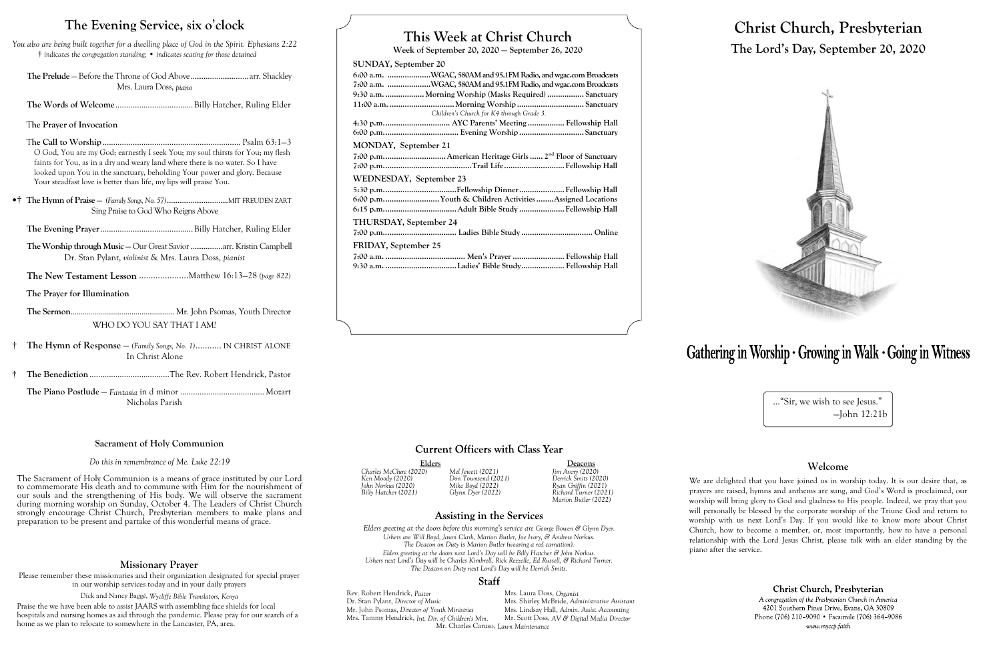# **This Week at Christ Church**

**Week of September 20, 2020 — September 26, 2020**

### **SUNDAY, September 20**

| 6:00 a.m. WGAC, 580AM and 95.1FM Radio, and wgac.com Broadcasts      |
|----------------------------------------------------------------------|
| 7:00 a.m. WGAC, 580AM and 95.1FM Radio, and wgac.com Broadcasts      |
| 9:30 a.m.  Morning Worship (Masks Required)  Sanctuary               |
|                                                                      |
| Children's Church for K4 through Grade 3.                            |
| 4:30 p.m AYC Parents' Meeting  Fellowship Hall                       |
|                                                                      |
| MONDAY, September 21                                                 |
| 7:00 p.m American Heritage Girls  2 <sup>nd</sup> Floor of Sanctuary |
|                                                                      |
| WEDNESDAY, September 23                                              |
|                                                                      |
| 6:00 p.mYouth & Children Activities Assigned Locations               |
|                                                                      |
| <b>THURSDAY, September 24</b>                                        |
|                                                                      |
| FRIDAY, September 25                                                 |
|                                                                      |
|                                                                      |
|                                                                      |
|                                                                      |
|                                                                      |

## **Current Officers with Class Year**

Elders Deacons<br>
20) Mel Jewett (2021) Jim Avery (2020) *Charles McClure (2020) Mel Jewett (2021) Jim Avery (2020) Billy Hatcher (2021) Glynn Dyer (2022) Richard Turner (2021) Marion Butler (2022)*

## **Assisting in the Services**

Rev. Robert Hendrick, *Pastor* Mrs. Laura Doss, *Organist* Dr. Stan Pylant, *Director of Music* Mrs. Shirley McBride, *Adm* Mrs. Shirley McBride, *Administrative Assistant*<br>Mrs. Lindsay Hall, *Admin. Assist. Accounting* Mr. John Psomas, *Director of Youth Ministries* Mrs. Tammy Hendrick, *Int. Dir. of Children's Min.* Mr. Scott Doss, *AV & Digital Media Director* Mr. Charles Caruso, *Lawn Maintenance*

*Ken Moody (2020) Don Townsend (2021) Derrick Smits (2020) John Norkus (2020) Mike Boyd (2022) Ryan Griffin (2021)*

*Elders greeting at the doors before this morning's service are George Bowen & Glynn Dyer. Ushers are Will Boyd, Jason Clark, Marion Butler, Joe Ivory, & Andrew Norkus. The Deacon on Duty* is *Marion Butler (wearing a red carnation). Elders greeting at the doors next Lord's Day will be Billy Hatcher & John Norkus. Ushers next Lord's Day will be Charles Kimbrell, Rick Rezzelle, Ed Russell, & Richard Turner. The Deacon on Duty next Lord's Day will be Derrick Smits.*

#### Staff

# **Christ Church, Presbyterian The Lord's Day, September 20, 2020**



# Gathering in Worship · Growing in Walk · Going in Witness

..."Sir, we wish to see Jesus." —John 12:21b

### **Welcome**

We are delighted that you have joined us in worship today. It is our desire that, as prayers are raised, hymns and anthems are sung, and God's Word is proclaimed, our worship will bring glory to God and gladness to His people. Indeed, we pray that you will personally be blessed by the corporate worship of the Triune God and return to worship with us next Lord's Day. If you would like to know more about Christ Church, how to become a member, or, most importantly, how to have a personal relationship with the Lord Jesus Christ, please talk with an elder standing by the

Christ Church, Presbyterian

A congregation of the Presbyterian Church in America 4201 Southern Pines Drive, Evans, GA 30809 Phone (706) 210-9090 • Facsimile (706) 364-9086 www.myccp.faith

piano after the service.

# **The Evening Service, six o**'**clock**

*You also are being built together for a dwelling place of God in the Spirit. Ephesians 2:22* † *indicates the congregation standing;* • *indicates seating for those detained*

**The Prelude** — Before the Throne of God Above...............................arr. Shackley Mrs. Laura Doss, *piano*

**The Words of Welcome**....................................Billy Hatcher, Ruling Elder

T**he Prayer of Invocation**

T**he Call to Worship**................................................................ Psalm 63:1—3 O God, You are my God; earnestly I seek You; my soul thirsts for You; my flesh faints for You, as in a dry and weary land where there is no water. So I have looked upon You in the sanctuary, beholding Your power and glory. Because Your steadfast love is better than life, my lips will praise You.

•† **The Hymn of Praise** — *(Family Songs, No. 57)*.................................MIT FREUDEN ZART Sing Praise to God Who Reigns Above

**The Evening Prayer**...........................................Billy Hatcher, Ruling Elder

**The Worship through Music** — Our Great Savior.................arr. Kristin Campbell Dr. Stan Pylant, *violinist* & Mrs. Laura Doss, *pianist*

**The New Testament Lesson** .....................Matthew 16:13—28 *(page 822)*

**The Prayer for Illumination**

**The Sermon**..................................................... Mr. John Psomas, Youth Director WHO DO YOU SAY THAT I AM?

- † **The Hymn of Response**  *(Family Songs, No. 1)*........... IN CHRIST ALONE In Christ Alone
- † **The Benediction**.....................................The Rev. Robert Hendrick, Pastor

**The Piano Postlude** — *Fantasia* in d minor ....................................... Mozart Nicholas Parish

### **Missionary Prayer**

Please remember these missionaries and their organization designated for special prayer in our worship services today and in your daily prayers

Dick and Nancy Baggé, *Wycliffe Bible Translators, Kenya*

Praise the we have been able to assist JAARS with assembling face shields for local hospitals and nursing homes as aid through the pandemic. Please pray for our search of a home as we plan to relocate to somewhere in the Lancaster, PA, area.

### **Sacrament of Holy Communion**

#### *Do this in remembrance of Me. Luke 22:19*

The Sacrament of Holy Communion is a means of grace instituted by our Lord to commemorate His death and to commune with Him for the nourishment of our souls and the strengthening of His body. We will observe the sacrament during morning worship on Sunday, October 4. The Leaders of Christ Church strongly encourage Christ Church, Presbyterian members to make plans and preparation to be present and partake of this wonderful means of grace.